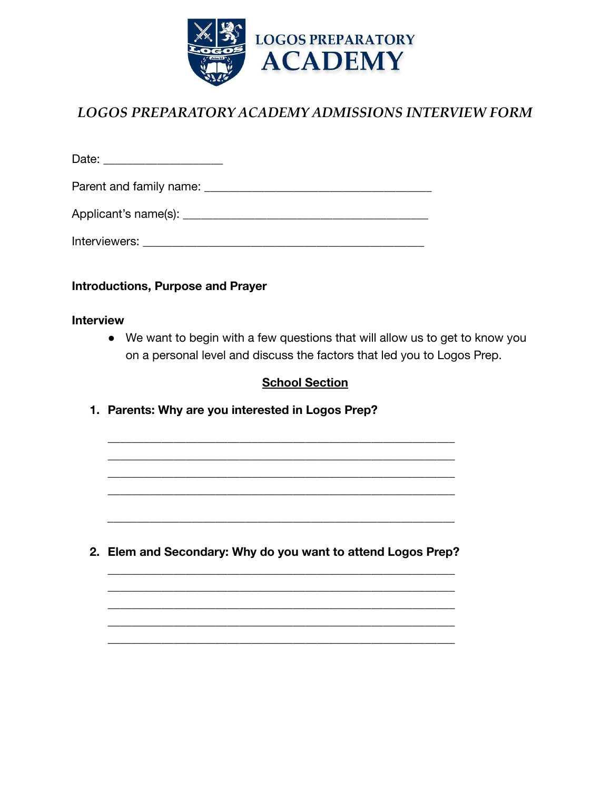

# *LOGOS PREPARATORY ACADEMY ADMISSIONS INTERVIEW FORM*

| Parent and family name:                                                                                        |  |
|----------------------------------------------------------------------------------------------------------------|--|
|                                                                                                                |  |
| Interviewers: New York Structure and Structure and Structure and Structure and Structure and Structure and Str |  |

**Introductions, Purpose and Prayer**

### **Interview**

**●** We want to begin with a few questions that will allow us to get to know you on a personal level and discuss the factors that led you to Logos Prep.

### **School Section**

**1. Parents: Why are you interested in Logos Prep?**

**2. Elem and Secondary: Why do you want to attend Logos Prep?**

\_\_\_\_\_\_\_\_\_\_\_\_\_\_\_\_\_\_\_\_\_\_\_\_\_\_\_\_\_\_\_\_\_\_\_\_\_\_\_\_\_\_\_\_\_\_\_\_\_\_\_\_\_\_\_\_\_\_

\_\_\_\_\_\_\_\_\_\_\_\_\_\_\_\_\_\_\_\_\_\_\_\_\_\_\_\_\_\_\_\_\_\_\_\_\_\_\_\_\_\_\_\_\_\_\_\_\_\_\_\_\_\_\_\_\_\_ \_\_\_\_\_\_\_\_\_\_\_\_\_\_\_\_\_\_\_\_\_\_\_\_\_\_\_\_\_\_\_\_\_\_\_\_\_\_\_\_\_\_\_\_\_\_\_\_\_\_\_\_\_\_\_\_\_\_ \_\_\_\_\_\_\_\_\_\_\_\_\_\_\_\_\_\_\_\_\_\_\_\_\_\_\_\_\_\_\_\_\_\_\_\_\_\_\_\_\_\_\_\_\_\_\_\_\_\_\_\_\_\_\_\_\_\_ \_\_\_\_\_\_\_\_\_\_\_\_\_\_\_\_\_\_\_\_\_\_\_\_\_\_\_\_\_\_\_\_\_\_\_\_\_\_\_\_\_\_\_\_\_\_\_\_\_\_\_\_\_\_\_\_\_\_ \_\_\_\_\_\_\_\_\_\_\_\_\_\_\_\_\_\_\_\_\_\_\_\_\_\_\_\_\_\_\_\_\_\_\_\_\_\_\_\_\_\_\_\_\_\_\_\_\_\_\_\_\_\_\_\_\_\_

\_\_\_\_\_\_\_\_\_\_\_\_\_\_\_\_\_\_\_\_\_\_\_\_\_\_\_\_\_\_\_\_\_\_\_\_\_\_\_\_\_\_\_\_\_\_\_\_\_\_\_\_\_\_\_\_\_\_ \_\_\_\_\_\_\_\_\_\_\_\_\_\_\_\_\_\_\_\_\_\_\_\_\_\_\_\_\_\_\_\_\_\_\_\_\_\_\_\_\_\_\_\_\_\_\_\_\_\_\_\_\_\_\_\_\_\_ \_\_\_\_\_\_\_\_\_\_\_\_\_\_\_\_\_\_\_\_\_\_\_\_\_\_\_\_\_\_\_\_\_\_\_\_\_\_\_\_\_\_\_\_\_\_\_\_\_\_\_\_\_\_\_\_\_\_ \_\_\_\_\_\_\_\_\_\_\_\_\_\_\_\_\_\_\_\_\_\_\_\_\_\_\_\_\_\_\_\_\_\_\_\_\_\_\_\_\_\_\_\_\_\_\_\_\_\_\_\_\_\_\_\_\_\_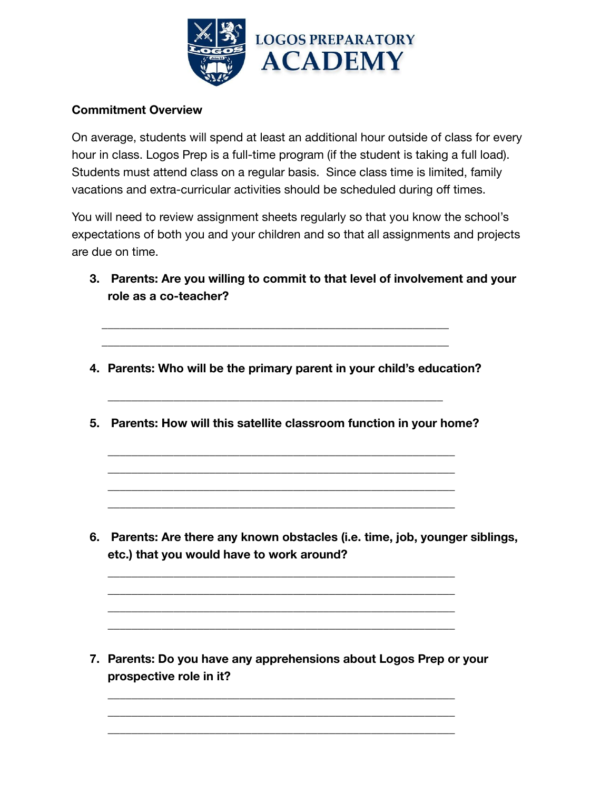

### **Commitment Overview**

On average, students will spend at least an additional hour outside of class for every hour in class. Logos Prep is a full-time program (if the student is taking a full load). Students must attend class on a regular basis. Since class time is limited, family vacations and extra-curricular activities should be scheduled during off times.

You will need to review assignment sheets regularly so that you know the school's expectations of both you and your children and so that all assignments and projects are due on time.

- **3. Parents: Are you willing to commit to that level of involvement and your role as a co-teacher?**
- **4. Parents: Who will be the primary parent in your child's education?**

\_\_\_\_\_\_\_\_\_\_\_\_\_\_\_\_\_\_\_\_\_\_\_\_\_\_\_\_\_\_\_\_\_\_\_\_\_\_\_\_\_\_\_\_\_\_\_\_\_\_\_\_\_\_\_\_\_\_ \_\_\_\_\_\_\_\_\_\_\_\_\_\_\_\_\_\_\_\_\_\_\_\_\_\_\_\_\_\_\_\_\_\_\_\_\_\_\_\_\_\_\_\_\_\_\_\_\_\_\_\_\_\_\_\_\_\_

**5. Parents: How will this satellite classroom function in your home?**

\_\_\_\_\_\_\_\_\_\_\_\_\_\_\_\_\_\_\_\_\_\_\_\_\_\_\_\_\_\_\_\_\_\_\_\_\_\_\_\_\_\_\_\_\_\_\_\_\_\_\_\_\_\_\_\_\_\_ \_\_\_\_\_\_\_\_\_\_\_\_\_\_\_\_\_\_\_\_\_\_\_\_\_\_\_\_\_\_\_\_\_\_\_\_\_\_\_\_\_\_\_\_\_\_\_\_\_\_\_\_\_\_\_\_\_\_ \_\_\_\_\_\_\_\_\_\_\_\_\_\_\_\_\_\_\_\_\_\_\_\_\_\_\_\_\_\_\_\_\_\_\_\_\_\_\_\_\_\_\_\_\_\_\_\_\_\_\_\_\_\_\_\_\_\_ \_\_\_\_\_\_\_\_\_\_\_\_\_\_\_\_\_\_\_\_\_\_\_\_\_\_\_\_\_\_\_\_\_\_\_\_\_\_\_\_\_\_\_\_\_\_\_\_\_\_\_\_\_\_\_\_\_\_

\_\_\_\_\_\_\_\_\_\_\_\_\_\_\_\_\_\_\_\_\_\_\_\_\_\_\_\_\_\_\_\_\_\_\_\_\_\_\_\_\_\_\_\_\_\_\_\_\_\_\_\_\_\_\_\_\_\_ \_\_\_\_\_\_\_\_\_\_\_\_\_\_\_\_\_\_\_\_\_\_\_\_\_\_\_\_\_\_\_\_\_\_\_\_\_\_\_\_\_\_\_\_\_\_\_\_\_\_\_\_\_\_\_\_\_\_ \_\_\_\_\_\_\_\_\_\_\_\_\_\_\_\_\_\_\_\_\_\_\_\_\_\_\_\_\_\_\_\_\_\_\_\_\_\_\_\_\_\_\_\_\_\_\_\_\_\_\_\_\_\_\_\_\_\_ \_\_\_\_\_\_\_\_\_\_\_\_\_\_\_\_\_\_\_\_\_\_\_\_\_\_\_\_\_\_\_\_\_\_\_\_\_\_\_\_\_\_\_\_\_\_\_\_\_\_\_\_\_\_\_\_\_\_

\_\_\_\_\_\_\_\_\_\_\_\_\_\_\_\_\_\_\_\_\_\_\_\_\_\_\_\_\_\_\_\_\_\_\_\_\_\_\_\_\_\_\_\_\_\_\_\_\_\_\_\_\_\_\_\_

**6. Parents: Are there any known obstacles (i.e. time, job, younger siblings, etc.) that you would have to work around?**

**7. Parents: Do you have any apprehensions about Logos Prep or your prospective role in it?**

\_\_\_\_\_\_\_\_\_\_\_\_\_\_\_\_\_\_\_\_\_\_\_\_\_\_\_\_\_\_\_\_\_\_\_\_\_\_\_\_\_\_\_\_\_\_\_\_\_\_\_\_\_\_\_\_\_\_ \_\_\_\_\_\_\_\_\_\_\_\_\_\_\_\_\_\_\_\_\_\_\_\_\_\_\_\_\_\_\_\_\_\_\_\_\_\_\_\_\_\_\_\_\_\_\_\_\_\_\_\_\_\_\_\_\_\_ \_\_\_\_\_\_\_\_\_\_\_\_\_\_\_\_\_\_\_\_\_\_\_\_\_\_\_\_\_\_\_\_\_\_\_\_\_\_\_\_\_\_\_\_\_\_\_\_\_\_\_\_\_\_\_\_\_\_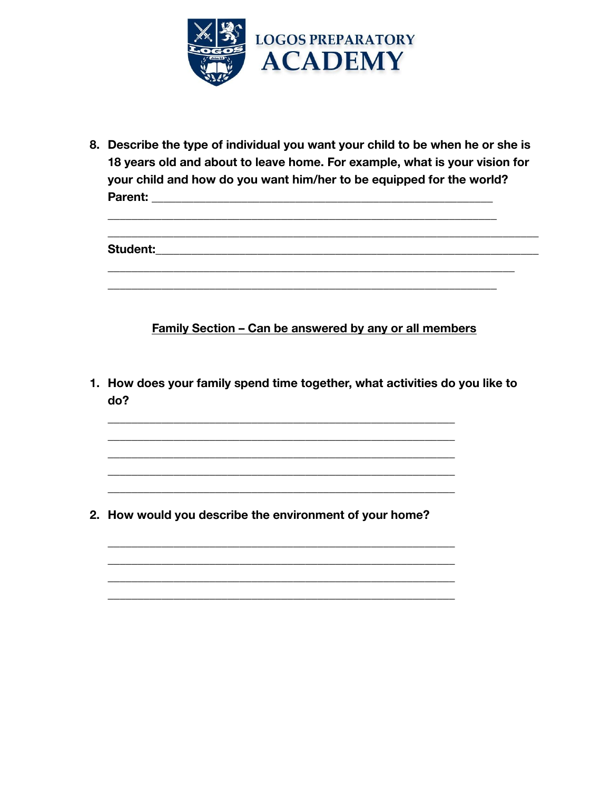

8. Describe the type of individual you want your child to be when he or she is 18 years old and about to leave home. For example, what is your vision for your child and how do you want him/her to be equipped for the world? **Parent: Example 2014** 

Student: The Student of the Student

**Family Section - Can be answered by any or all members** 

1. How does your family spend time together, what activities do you like to do?

2. How would you describe the environment of your home?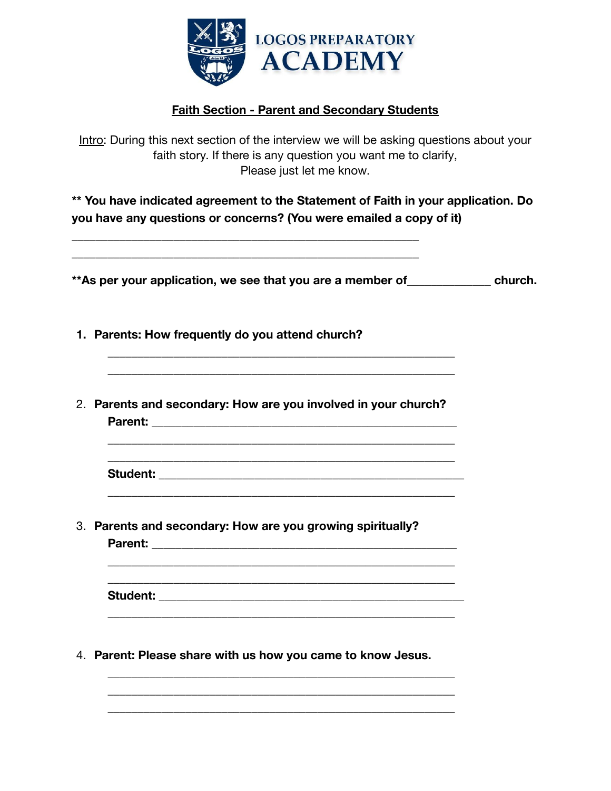

# **Faith Section - Parent and Secondary Students**

Intro: During this next section of the interview we will be asking questions about your faith story. If there is any question you want me to clarify, Please just let me know.

**\*\* You have indicated agreement to the Statement of Faith in your application. Do you have any questions or concerns? (You were emailed a copy of it)**

**\*\*As per your application, we see that you are a member of\_\_\_\_\_\_\_\_\_\_\_\_\_\_ church.**

**1. Parents: How frequently do you attend church?**

\_\_\_\_\_\_\_\_\_\_\_\_\_\_\_\_\_\_\_\_\_\_\_\_\_\_\_\_\_\_\_\_\_\_\_\_\_\_\_\_\_\_\_\_\_\_\_\_\_\_\_\_\_\_\_\_\_\_ \_\_\_\_\_\_\_\_\_\_\_\_\_\_\_\_\_\_\_\_\_\_\_\_\_\_\_\_\_\_\_\_\_\_\_\_\_\_\_\_\_\_\_\_\_\_\_\_\_\_\_\_\_\_\_\_\_\_

2. **Parents and secondary: How are you involved in your church? Parent:** \_\_\_\_\_\_\_\_\_\_\_\_\_\_\_\_\_\_\_\_\_\_\_\_\_\_\_\_\_\_\_\_\_\_\_\_\_\_\_\_\_\_\_\_\_\_\_\_\_\_\_

\_\_\_\_\_\_\_\_\_\_\_\_\_\_\_\_\_\_\_\_\_\_\_\_\_\_\_\_\_\_\_\_\_\_\_\_\_\_\_\_\_\_\_\_\_\_\_\_\_\_\_\_\_\_\_\_\_\_ \_\_\_\_\_\_\_\_\_\_\_\_\_\_\_\_\_\_\_\_\_\_\_\_\_\_\_\_\_\_\_\_\_\_\_\_\_\_\_\_\_\_\_\_\_\_\_\_\_\_\_\_\_\_\_\_\_\_

\_\_\_\_\_\_\_\_\_\_\_\_\_\_\_\_\_\_\_\_\_\_\_\_\_\_\_\_\_\_\_\_\_\_\_\_\_\_\_\_\_\_\_\_\_\_\_\_\_\_\_\_\_\_\_\_\_\_ \_\_\_\_\_\_\_\_\_\_\_\_\_\_\_\_\_\_\_\_\_\_\_\_\_\_\_\_\_\_\_\_\_\_\_\_\_\_\_\_\_\_\_\_\_\_\_\_\_\_\_\_\_\_\_\_\_\_

\_\_\_\_\_\_\_\_\_\_\_\_\_\_\_\_\_\_\_\_\_\_\_\_\_\_\_\_\_\_\_\_\_\_\_\_\_\_\_\_\_\_\_\_\_\_\_\_\_\_\_\_\_\_\_\_\_\_

**Student:** \_\_\_\_\_\_\_\_\_\_\_\_\_\_\_\_\_\_\_\_\_\_\_\_\_\_\_\_\_\_\_\_\_\_\_\_\_\_\_\_\_\_\_\_\_\_\_\_\_\_\_

3. **Parents and secondary: How are you growing spiritually?**

\_\_\_\_\_\_\_\_\_\_\_\_\_\_\_\_\_\_\_\_\_\_\_\_\_\_\_\_\_\_\_\_\_\_\_\_\_\_\_\_\_\_\_\_\_\_\_\_\_\_\_\_\_\_\_\_\_\_ \_\_\_\_\_\_\_\_\_\_\_\_\_\_\_\_\_\_\_\_\_\_\_\_\_\_\_\_\_\_\_\_\_\_\_\_\_\_\_\_\_\_\_\_\_\_\_\_\_\_\_\_\_\_\_\_\_\_

**Parent:** \_\_\_\_\_\_\_\_\_\_\_\_\_\_\_\_\_\_\_\_\_\_\_\_\_\_\_\_\_\_\_\_\_\_\_\_\_\_\_\_\_\_\_\_\_\_\_\_\_\_\_

**Student:** \_\_\_\_\_\_\_\_\_\_\_\_\_\_\_\_\_\_\_\_\_\_\_\_\_\_\_\_\_\_\_\_\_\_\_\_\_\_\_\_\_\_\_\_\_\_\_\_\_\_\_ \_\_\_\_\_\_\_\_\_\_\_\_\_\_\_\_\_\_\_\_\_\_\_\_\_\_\_\_\_\_\_\_\_\_\_\_\_\_\_\_\_\_\_\_\_\_\_\_\_\_\_\_\_\_\_\_\_\_

\_\_\_\_\_\_\_\_\_\_\_\_\_\_\_\_\_\_\_\_\_\_\_\_\_\_\_\_\_\_\_\_\_\_\_\_\_\_\_\_\_\_\_\_\_\_\_\_\_\_\_\_\_\_\_\_\_\_ \_\_\_\_\_\_\_\_\_\_\_\_\_\_\_\_\_\_\_\_\_\_\_\_\_\_\_\_\_\_\_\_\_\_\_\_\_\_\_\_\_\_\_\_\_\_\_\_\_\_\_\_\_\_\_\_\_\_ \_\_\_\_\_\_\_\_\_\_\_\_\_\_\_\_\_\_\_\_\_\_\_\_\_\_\_\_\_\_\_\_\_\_\_\_\_\_\_\_\_\_\_\_\_\_\_\_\_\_\_\_\_\_\_\_\_\_

4. **Parent: Please share with us how you came to know Jesus.**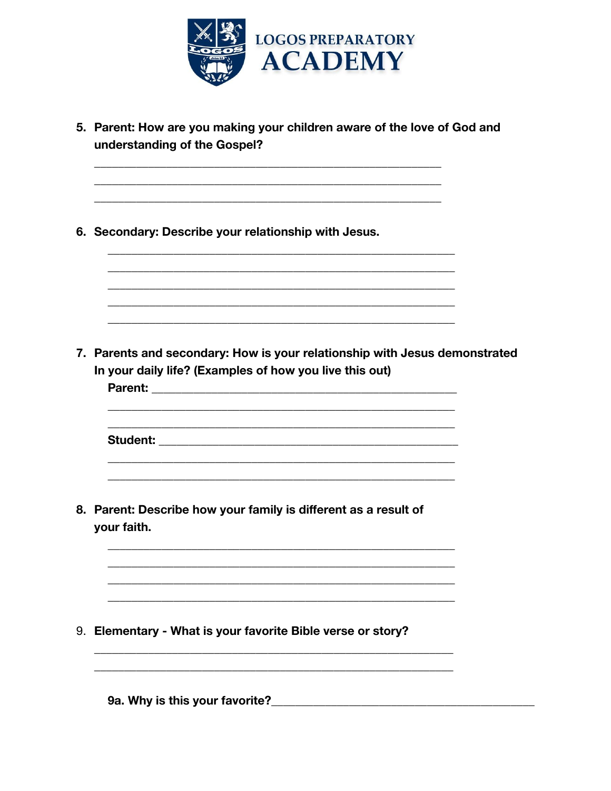

| 5. Parent: How are you making your children aware of the love of God and<br>understanding of the Gospel?                              |  |
|---------------------------------------------------------------------------------------------------------------------------------------|--|
| 6. Secondary: Describe your relationship with Jesus.                                                                                  |  |
| 7. Parents and secondary: How is your relationship with Jesus demonstrated<br>In your daily life? (Examples of how you live this out) |  |
| Student: Student:                                                                                                                     |  |
| 8. Parent: Describe how your family is different as a result of<br>your faith.                                                        |  |
| 9. Elementary - What is your favorite Bible verse or story?                                                                           |  |
| 9a. Why is this your favorite?____                                                                                                    |  |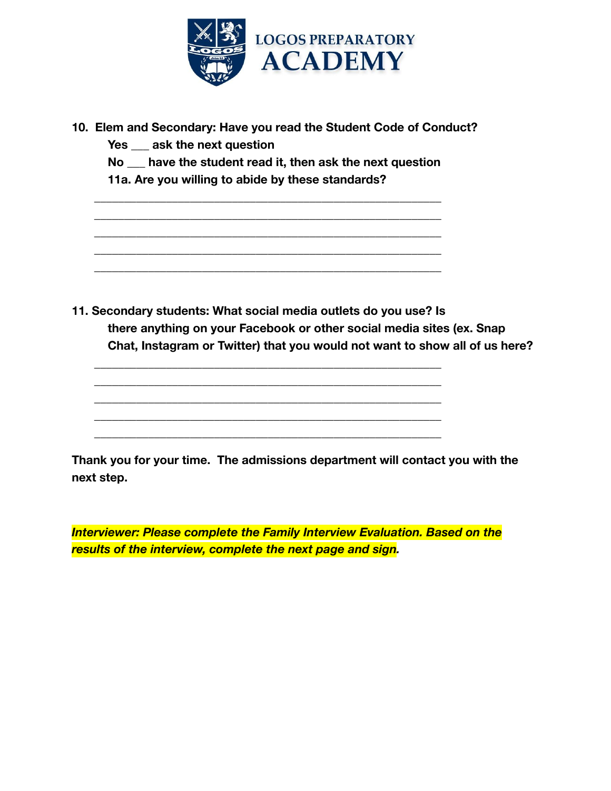

|  | 10. Elem and Secondary: Have you read the Student Code of Conduct? |  |  |  |
|--|--------------------------------------------------------------------|--|--|--|
|--|--------------------------------------------------------------------|--|--|--|

**Yes \_\_\_ ask the next question**

**No \_\_\_ have the student read it, then ask the next question**

\_\_\_\_\_\_\_\_\_\_\_\_\_\_\_\_\_\_\_\_\_\_\_\_\_\_\_\_\_\_\_\_\_\_\_\_\_\_\_\_\_\_\_\_\_\_\_\_\_\_\_\_\_\_\_\_\_\_ \_\_\_\_\_\_\_\_\_\_\_\_\_\_\_\_\_\_\_\_\_\_\_\_\_\_\_\_\_\_\_\_\_\_\_\_\_\_\_\_\_\_\_\_\_\_\_\_\_\_\_\_\_\_\_\_\_\_ \_\_\_\_\_\_\_\_\_\_\_\_\_\_\_\_\_\_\_\_\_\_\_\_\_\_\_\_\_\_\_\_\_\_\_\_\_\_\_\_\_\_\_\_\_\_\_\_\_\_\_\_\_\_\_\_\_\_ \_\_\_\_\_\_\_\_\_\_\_\_\_\_\_\_\_\_\_\_\_\_\_\_\_\_\_\_\_\_\_\_\_\_\_\_\_\_\_\_\_\_\_\_\_\_\_\_\_\_\_\_\_\_\_\_\_\_ \_\_\_\_\_\_\_\_\_\_\_\_\_\_\_\_\_\_\_\_\_\_\_\_\_\_\_\_\_\_\_\_\_\_\_\_\_\_\_\_\_\_\_\_\_\_\_\_\_\_\_\_\_\_\_\_\_\_

\_\_\_\_\_\_\_\_\_\_\_\_\_\_\_\_\_\_\_\_\_\_\_\_\_\_\_\_\_\_\_\_\_\_\_\_\_\_\_\_\_\_\_\_\_\_\_\_\_\_\_\_\_\_\_\_\_\_ \_\_\_\_\_\_\_\_\_\_\_\_\_\_\_\_\_\_\_\_\_\_\_\_\_\_\_\_\_\_\_\_\_\_\_\_\_\_\_\_\_\_\_\_\_\_\_\_\_\_\_\_\_\_\_\_\_\_ \_\_\_\_\_\_\_\_\_\_\_\_\_\_\_\_\_\_\_\_\_\_\_\_\_\_\_\_\_\_\_\_\_\_\_\_\_\_\_\_\_\_\_\_\_\_\_\_\_\_\_\_\_\_\_\_\_\_ \_\_\_\_\_\_\_\_\_\_\_\_\_\_\_\_\_\_\_\_\_\_\_\_\_\_\_\_\_\_\_\_\_\_\_\_\_\_\_\_\_\_\_\_\_\_\_\_\_\_\_\_\_\_\_\_\_\_ \_\_\_\_\_\_\_\_\_\_\_\_\_\_\_\_\_\_\_\_\_\_\_\_\_\_\_\_\_\_\_\_\_\_\_\_\_\_\_\_\_\_\_\_\_\_\_\_\_\_\_\_\_\_\_\_\_\_

**11a. Are you willing to abide by these standards?**

**11. Secondary students: What social media outlets do you use? Is there anything on your Facebook or other social media sites (ex. Snap Chat, Instagram or Twitter) that you would not want to show all of us here?**

**Thank you for your time. The admissions department will contact you with the next step.**

*Interviewer: Please complete the Family Interview Evaluation. Based on the results of the interview, complete the next page and sign.*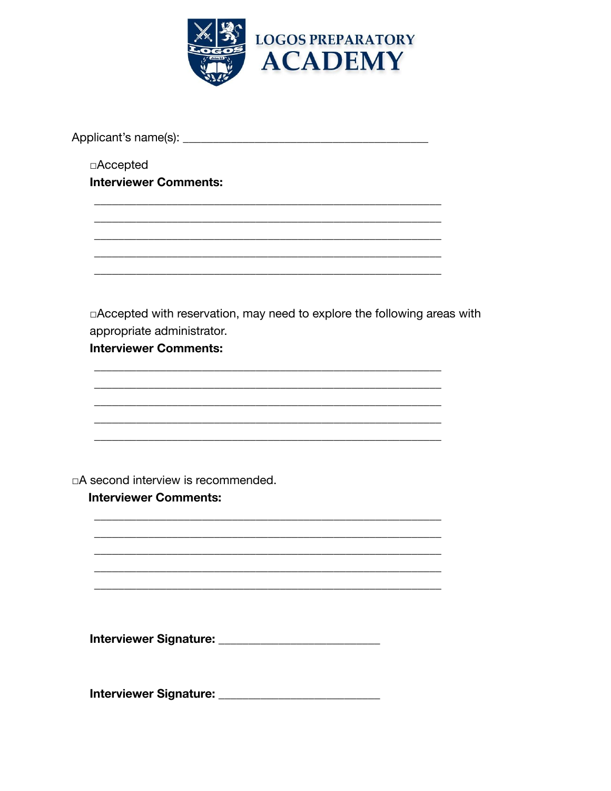

 $\Box$ Accepted **Interviewer Comments:** 

□ Accepted with reservation, may need to explore the following areas with appropriate administrator.

**Interviewer Comments:** 

□A second interview is recommended.

#### **Interviewer Comments:**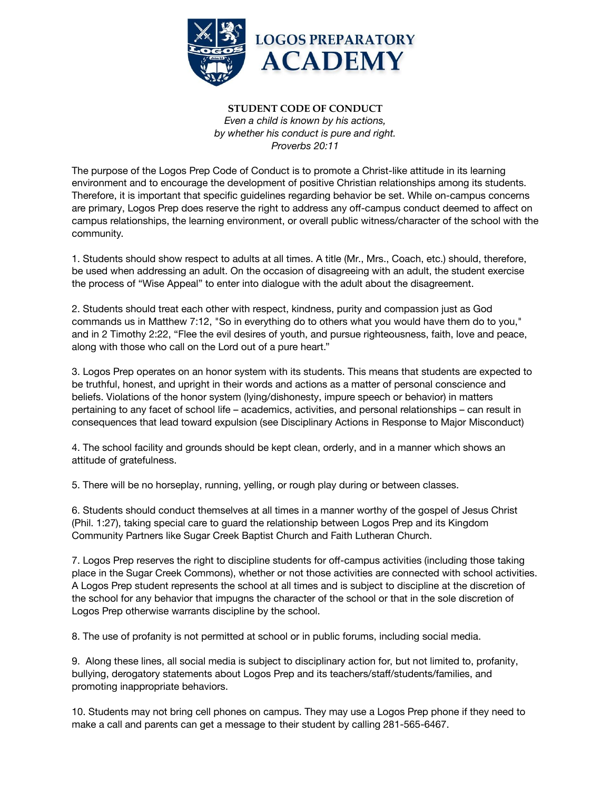

#### **STUDENT CODE OF CONDUCT** *Even a child is known by his actions, by whether his conduct is pure and right. Proverbs 20:11*

The purpose of the Logos Prep Code of Conduct is to promote a Christ-like attitude in its learning environment and to encourage the development of positive Christian relationships among its students. Therefore, it is important that specific guidelines regarding behavior be set. While on-campus concerns are primary, Logos Prep does reserve the right to address any off-campus conduct deemed to affect on campus relationships, the learning environment, or overall public witness/character of the school with the community.

1. Students should show respect to adults at all times. A title (Mr., Mrs., Coach, etc.) should, therefore, be used when addressing an adult. On the occasion of disagreeing with an adult, the student exercise the process of "Wise Appeal" to enter into dialogue with the adult about the disagreement.

2. Students should treat each other with respect, kindness, purity and compassion just as God commands us in Matthew 7:12, "So in everything do to others what you would have them do to you," and in 2 Timothy 2:22, "Flee the evil desires of youth, and pursue righteousness, faith, love and peace, along with those who call on the Lord out of a pure heart."

3. Logos Prep operates on an honor system with its students. This means that students are expected to be truthful, honest, and upright in their words and actions as a matter of personal conscience and beliefs. Violations of the honor system (lying/dishonesty, impure speech or behavior) in matters pertaining to any facet of school life – academics, activities, and personal relationships – can result in consequences that lead toward expulsion (see Disciplinary Actions in Response to Major Misconduct)

4. The school facility and grounds should be kept clean, orderly, and in a manner which shows an attitude of gratefulness.

5. There will be no horseplay, running, yelling, or rough play during or between classes.

6. Students should conduct themselves at all times in a manner worthy of the gospel of Jesus Christ (Phil. 1:27), taking special care to guard the relationship between Logos Prep and its Kingdom Community Partners like Sugar Creek Baptist Church and Faith Lutheran Church.

7. Logos Prep reserves the right to discipline students for off-campus activities (including those taking place in the Sugar Creek Commons), whether or not those activities are connected with school activities. A Logos Prep student represents the school at all times and is subject to discipline at the discretion of the school for any behavior that impugns the character of the school or that in the sole discretion of Logos Prep otherwise warrants discipline by the school.

8. The use of profanity is not permitted at school or in public forums, including social media.

9. Along these lines, all social media is subject to disciplinary action for, but not limited to, profanity, bullying, derogatory statements about Logos Prep and its teachers/staff/students/families, and promoting inappropriate behaviors.

10. Students may not bring cell phones on campus. They may use a Logos Prep phone if they need to make a call and parents can get a message to their student by calling 281-565-6467.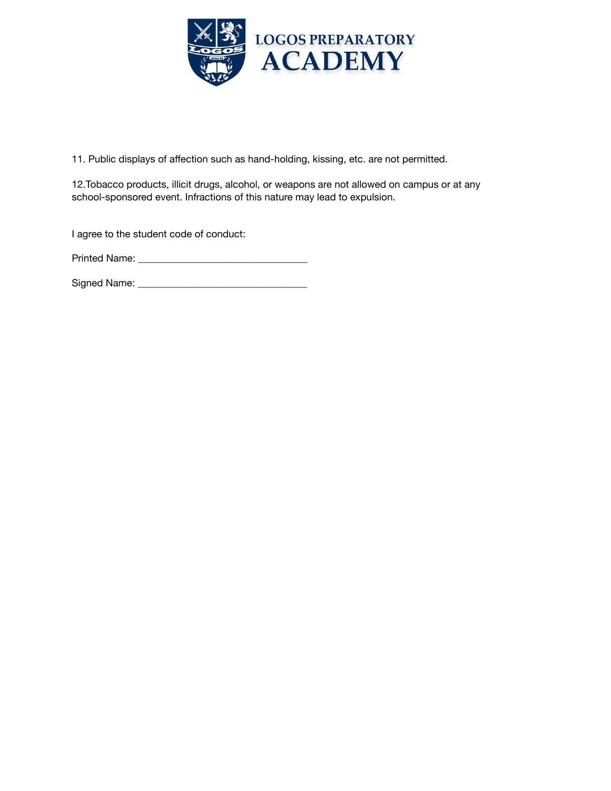

11. Public displays of affection such as hand-holding, kissing, etc. are not permitted.

12.Tobacco products, illicit drugs, alcohol, or weapons are not allowed on campus or at any school-sponsored event. Infractions of this nature may lead to expulsion.

I agree to the student code of conduct:

Printed Name: \_\_\_\_\_\_\_\_\_\_\_\_\_\_\_\_\_\_\_\_\_\_\_\_\_\_\_\_\_\_\_\_\_\_

Signed Name: \_\_\_\_\_\_\_\_\_\_\_\_\_\_\_\_\_\_\_\_\_\_\_\_\_\_\_\_\_\_\_\_\_\_